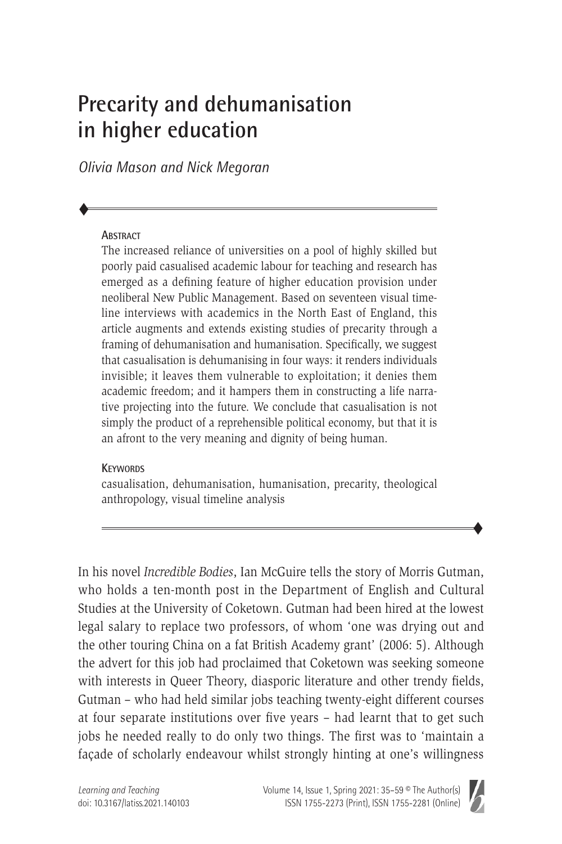# **Precarity and dehumanisation in higher education**

*Olivia Mason and Nick Megoran*

#### **ABSTRACT**

 $\blacklozenge$ 

The increased reliance of universities on a pool of highly skilled but poorly paid casualised academic labour for teaching and research has emerged as a defining feature of higher education provision under neoliberal New Public Management. Based on seventeen visual timeline interviews with academics in the North East of England, this article augments and extends existing studies of precarity through a framing of dehumanisation and humanisation. Specifically, we suggest that casualisation is dehumanising in four ways: it renders individuals invisible; it leaves them vulnerable to exploitation; it denies them academic freedom; and it hampers them in constructing a life narrative projecting into the future. We conclude that casualisation is not simply the product of a reprehensible political economy, but that it is an afront to the very meaning and dignity of being human.

#### **KEYWORDS**

casualisation, dehumanisation, humanisation, precarity, theological anthropology, visual timeline analysis

In his novel *Incredible Bodies*, Ian McGuire tells the story of Morris Gutman, who holds a ten-month post in the Department of English and Cultural Studies at the University of Coketown. Gutman had been hired at the lowest legal salary to replace two professors, of whom 'one was drying out and the other touring China on a fat British Academy grant' (2006: 5). Although the advert for this job had proclaimed that Coketown was seeking someone with interests in Queer Theory, diasporic literature and other trendy fields, Gutman – who had held similar jobs teaching twenty-eight different courses at four separate institutions over five years – had learnt that to get such jobs he needed really to do only two things. The first was to 'maintain a façade of scholarly endeavour whilst strongly hinting at one's willingness



 $\blacklozenge$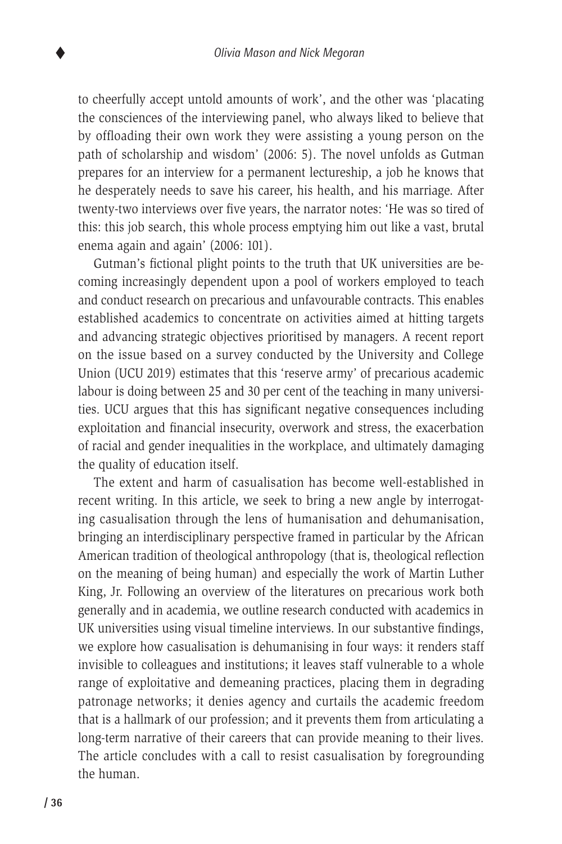to cheerfully accept untold amounts of work', and the other was 'placating the consciences of the interviewing panel, who always liked to believe that by offloading their own work they were assisting a young person on the path of scholarship and wisdom' (2006: 5). The novel unfolds as Gutman prepares for an interview for a permanent lectureship, a job he knows that he desperately needs to save his career, his health, and his marriage. After twenty-two interviews over five years, the narrator notes: 'He was so tired of this: this job search, this whole process emptying him out like a vast, brutal enema again and again' (2006: 101).

Gutman's fictional plight points to the truth that UK universities are becoming increasingly dependent upon a pool of workers employed to teach and conduct research on precarious and unfavourable contracts. This enables established academics to concentrate on activities aimed at hitting targets and advancing strategic objectives prioritised by managers. A recent report on the issue based on a survey conducted by the University and College Union (UCU 2019) estimates that this 'reserve army' of precarious academic labour is doing between 25 and 30 per cent of the teaching in many universities. UCU argues that this has significant negative consequences including exploitation and financial insecurity, overwork and stress, the exacerbation of racial and gender inequalities in the workplace, and ultimately damaging the quality of education itself.

The extent and harm of casualisation has become well-established in recent writing. In this article, we seek to bring a new angle by interrogating casualisation through the lens of humanisation and dehumanisation, bringing an interdisciplinary perspective framed in particular by the African American tradition of theological anthropology (that is, theological reflection on the meaning of being human) and especially the work of Martin Luther King, Jr. Following an overview of the literatures on precarious work both generally and in academia, we outline research conducted with academics in UK universities using visual timeline interviews. In our substantive findings, we explore how casualisation is dehumanising in four ways: it renders staff invisible to colleagues and institutions; it leaves staff vulnerable to a whole range of exploitative and demeaning practices, placing them in degrading patronage networks; it denies agency and curtails the academic freedom that is a hallmark of our profession; and it prevents them from articulating a long-term narrative of their careers that can provide meaning to their lives. The article concludes with a call to resist casualisation by foregrounding the human.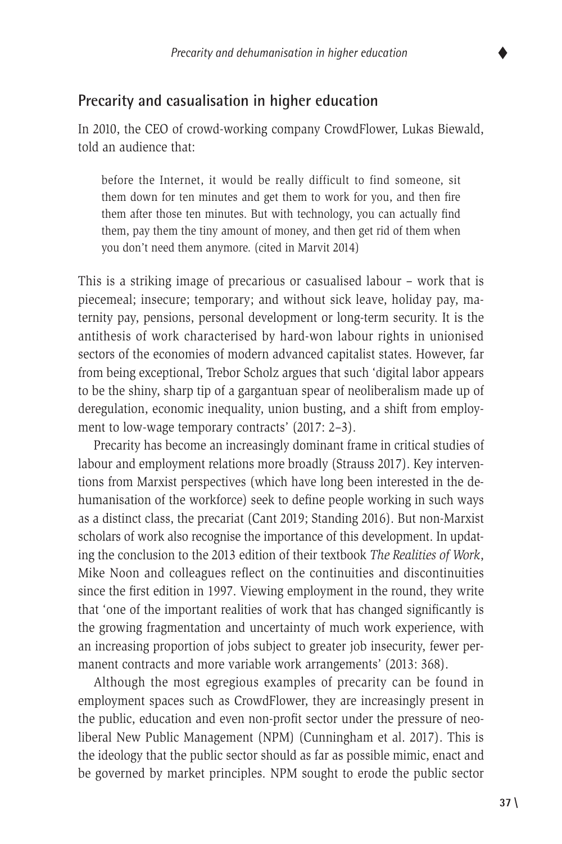

## **Precarity and casualisation in higher education**

In 2010, the CEO of crowd-working company CrowdFlower, Lukas Biewald, told an audience that:

before the Internet, it would be really difficult to find someone, sit them down for ten minutes and get them to work for you, and then fire them after those ten minutes. But with technology, you can actually find them, pay them the tiny amount of money, and then get rid of them when you don't need them anymore. (cited in Marvit 2014)

This is a striking image of precarious or casualised labour – work that is piecemeal; insecure; temporary; and without sick leave, holiday pay, maternity pay, pensions, personal development or long-term security. It is the antithesis of work characterised by hard-won labour rights in unionised sectors of the economies of modern advanced capitalist states. However, far from being exceptional, Trebor Scholz argues that such 'digital labor appears to be the shiny, sharp tip of a gargantuan spear of neoliberalism made up of deregulation, economic inequality, union busting, and a shift from employment to low-wage temporary contracts' (2017: 2–3).

Precarity has become an increasingly dominant frame in critical studies of labour and employment relations more broadly (Strauss 2017). Key interventions from Marxist perspectives (which have long been interested in the dehumanisation of the workforce) seek to define people working in such ways as a distinct class, the precariat (Cant 2019; Standing 2016). But non-Marxist scholars of work also recognise the importance of this development. In updating the conclusion to the 2013 edition of their textbook *The Realities of Work*, Mike Noon and colleagues reflect on the continuities and discontinuities since the first edition in 1997. Viewing employment in the round, they write that 'one of the important realities of work that has changed significantly is the growing fragmentation and uncertainty of much work experience, with an increasing proportion of jobs subject to greater job insecurity, fewer permanent contracts and more variable work arrangements' (2013: 368).

Although the most egregious examples of precarity can be found in employment spaces such as CrowdFlower, they are increasingly present in the public, education and even non-profit sector under the pressure of neoliberal New Public Management (NPM) (Cunningham et al. 2017). This is the ideology that the public sector should as far as possible mimic, enact and be governed by market principles. NPM sought to erode the public sector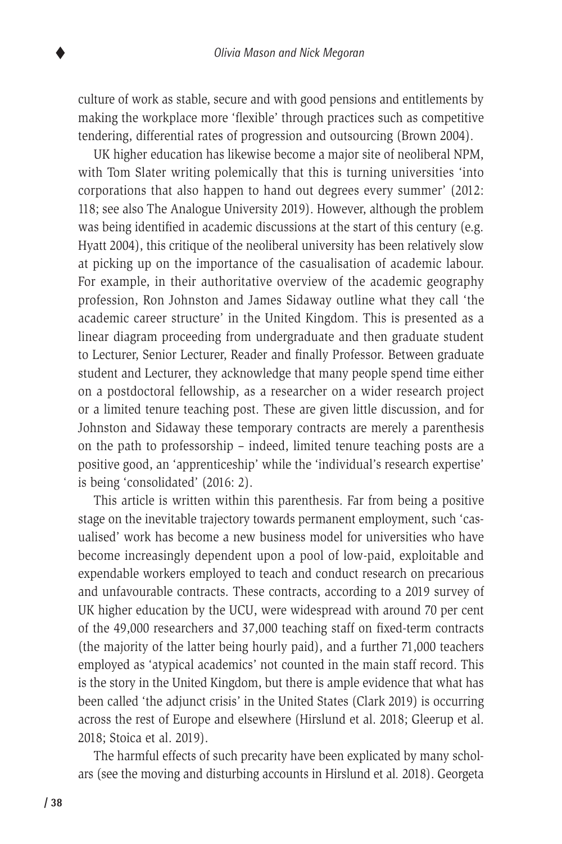culture of work as stable, secure and with good pensions and entitlements by making the workplace more 'flexible' through practices such as competitive tendering, differential rates of progression and outsourcing (Brown 2004).

UK higher education has likewise become a major site of neoliberal NPM, with Tom Slater writing polemically that this is turning universities 'into corporations that also happen to hand out degrees every summer' (2012: 118; see also The Analogue University 2019). However, although the problem was being identified in academic discussions at the start of this century (e.g. Hyatt 2004), this critique of the neoliberal university has been relatively slow at picking up on the importance of the casualisation of academic labour. For example, in their authoritative overview of the academic geography profession, Ron Johnston and James Sidaway outline what they call 'the academic career structure' in the United Kingdom. This is presented as a linear diagram proceeding from undergraduate and then graduate student to Lecturer, Senior Lecturer, Reader and finally Professor. Between graduate student and Lecturer, they acknowledge that many people spend time either on a postdoctoral fellowship, as a researcher on a wider research project or a limited tenure teaching post. These are given little discussion, and for Johnston and Sidaway these temporary contracts are merely a parenthesis on the path to professorship – indeed, limited tenure teaching posts are a positive good, an 'apprenticeship' while the 'individual's research expertise' is being 'consolidated' (2016: 2).

This article is written within this parenthesis. Far from being a positive stage on the inevitable trajectory towards permanent employment, such 'casualised' work has become a new business model for universities who have become increasingly dependent upon a pool of low-paid, exploitable and expendable workers employed to teach and conduct research on precarious and unfavourable contracts. These contracts, according to a 2019 survey of UK higher education by the UCU, were widespread with around 70 per cent of the 49,000 researchers and 37,000 teaching staff on fixed-term contracts (the majority of the latter being hourly paid), and a further 71,000 teachers employed as 'atypical academics' not counted in the main staff record. This is the story in the United Kingdom, but there is ample evidence that what has been called 'the adjunct crisis' in the United States (Clark 2019) is occurring across the rest of Europe and elsewhere (Hirslund et al. 2018; Gleerup et al. 2018; Stoica et al. 2019).

The harmful effects of such precarity have been explicated by many scholars (see the moving and disturbing accounts in Hirslund et al*.* 2018). Georgeta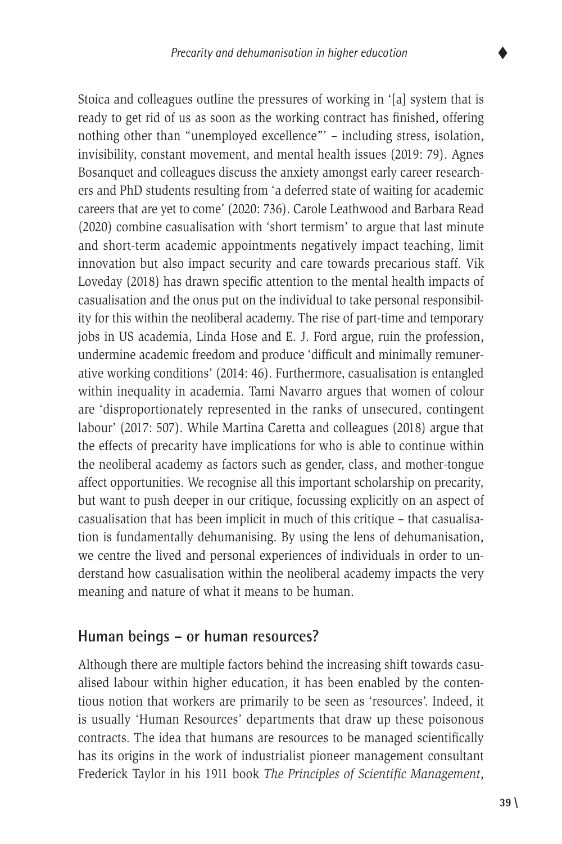

Stoica and colleagues outline the pressures of working in '[a] system that is ready to get rid of us as soon as the working contract has finished, offering nothing other than "unemployed excellence"' – including stress, isolation, invisibility, constant movement, and mental health issues (2019: 79). Agnes Bosanquet and colleagues discuss the anxiety amongst early career researchers and PhD students resulting from 'a deferred state of waiting for academic careers that are yet to come' (2020: 736). Carole Leathwood and Barbara Read (2020) combine casualisation with 'short termism' to argue that last minute and short-term academic appointments negatively impact teaching, limit innovation but also impact security and care towards precarious staff. Vik Loveday (2018) has drawn specific attention to the mental health impacts of casualisation and the onus put on the individual to take personal responsibility for this within the neoliberal academy. The rise of part-time and temporary jobs in US academia, Linda Hose and E. J. Ford argue, ruin the profession, undermine academic freedom and produce 'difficult and minimally remunerative working conditions' (2014: 46). Furthermore, casualisation is entangled within inequality in academia. Tami Navarro argues that women of colour are 'disproportionately represented in the ranks of unsecured, contingent labour' (2017: 507). While Martina Caretta and colleagues (2018) argue that the effects of precarity have implications for who is able to continue within the neoliberal academy as factors such as gender, class, and mother-tongue affect opportunities. We recognise all this important scholarship on precarity, but want to push deeper in our critique, focussing explicitly on an aspect of casualisation that has been implicit in much of this critique – that casualisation is fundamentally dehumanising. By using the lens of dehumanisation, we centre the lived and personal experiences of individuals in order to understand how casualisation within the neoliberal academy impacts the very meaning and nature of what it means to be human.

## **Human beings – or human resources?**

Although there are multiple factors behind the increasing shift towards casualised labour within higher education, it has been enabled by the contentious notion that workers are primarily to be seen as 'resources'. Indeed, it is usually 'Human Resources' departments that draw up these poisonous contracts. The idea that humans are resources to be managed scientifically has its origins in the work of industrialist pioneer management consultant Frederick Taylor in his 1911 book *The Principles of Scientific Management*,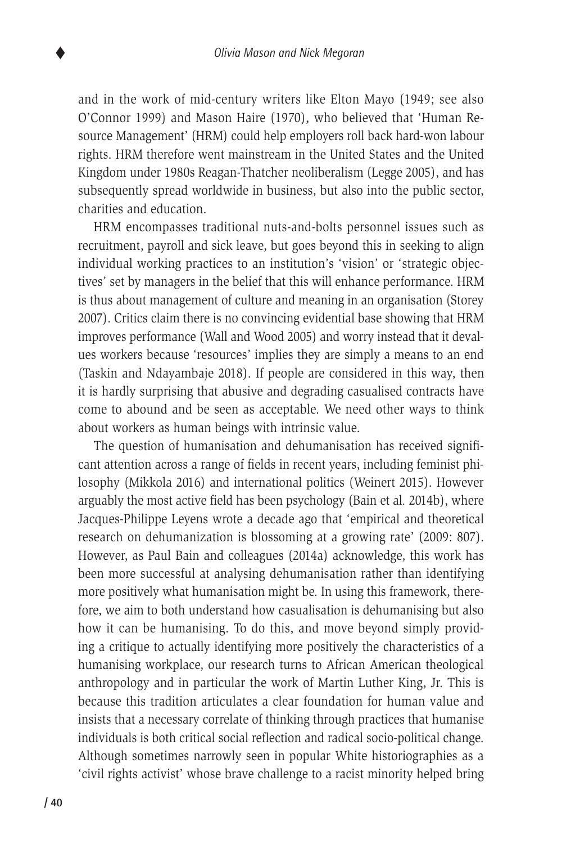and in the work of mid-century writers like Elton Mayo (1949; see also O'Connor 1999) and Mason Haire (1970), who believed that 'Human Resource Management' (HRM) could help employers roll back hard-won labour rights. HRM therefore went mainstream in the United States and the United Kingdom under 1980s Reagan-Thatcher neoliberalism (Legge 2005), and has subsequently spread worldwide in business, but also into the public sector, charities and education.

HRM encompasses traditional nuts-and-bolts personnel issues such as recruitment, payroll and sick leave, but goes beyond this in seeking to align individual working practices to an institution's 'vision' or 'strategic objectives' set by managers in the belief that this will enhance performance. HRM is thus about management of culture and meaning in an organisation (Storey 2007). Critics claim there is no convincing evidential base showing that HRM improves performance (Wall and Wood 2005) and worry instead that it devalues workers because 'resources' implies they are simply a means to an end (Taskin and Ndayambaje 2018). If people are considered in this way, then it is hardly surprising that abusive and degrading casualised contracts have come to abound and be seen as acceptable. We need other ways to think about workers as human beings with intrinsic value.

The question of humanisation and dehumanisation has received significant attention across a range of fields in recent years, including feminist philosophy (Mikkola 2016) and international politics (Weinert 2015). However arguably the most active field has been psychology (Bain et al*.* 2014b), where Jacques-Philippe Leyens wrote a decade ago that 'empirical and theoretical research on dehumanization is blossoming at a growing rate' (2009: 807). However, as Paul Bain and colleagues (2014a) acknowledge, this work has been more successful at analysing dehumanisation rather than identifying more positively what humanisation might be. In using this framework, therefore, we aim to both understand how casualisation is dehumanising but also how it can be humanising. To do this, and move beyond simply providing a critique to actually identifying more positively the characteristics of a humanising workplace, our research turns to African American theological anthropology and in particular the work of Martin Luther King, Jr. This is because this tradition articulates a clear foundation for human value and insists that a necessary correlate of thinking through practices that humanise individuals is both critical social reflection and radical socio-political change. Although sometimes narrowly seen in popular White historiographies as a 'civil rights activist' whose brave challenge to a racist minority helped bring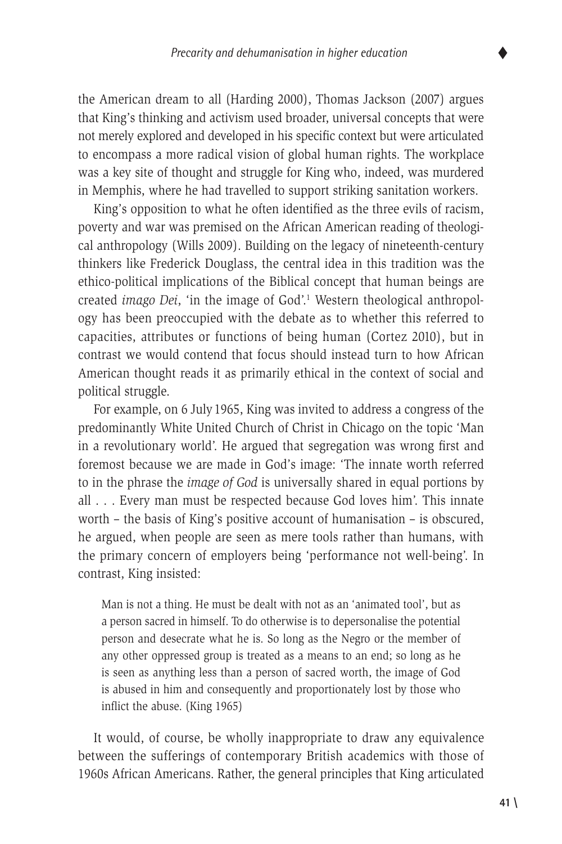the American dream to all (Harding 2000), Thomas Jackson (2007) argues that King's thinking and activism used broader, universal concepts that were not merely explored and developed in his specific context but were articulated to encompass a more radical vision of global human rights. The workplace was a key site of thought and struggle for King who, indeed, was murdered in Memphis, where he had travelled to support striking sanitation workers.

King's opposition to what he often identified as the three evils of racism, poverty and war was premised on the African American reading of theological anthropology (Wills 2009). Building on the legacy of nineteenth-century thinkers like Frederick Douglass, the central idea in this tradition was the ethico-political implications of the Biblical concept that human beings are created *imago Dei*, 'in the image of God'.<sup>1</sup> Western theological anthropology has been preoccupied with the debate as to whether this referred to capacities, attributes or functions of being human (Cortez 2010), but in contrast we would contend that focus should instead turn to how African American thought reads it as primarily ethical in the context of social and political struggle.

For example, on 6 July 1965, King was invited to address a congress of the predominantly White United Church of Christ in Chicago on the topic 'Man in a revolutionary world'. He argued that segregation was wrong first and foremost because we are made in God's image: 'The innate worth referred to in the phrase the *image of God* is universally shared in equal portions by all . . . Every man must be respected because God loves him'. This innate worth – the basis of King's positive account of humanisation – is obscured, he argued, when people are seen as mere tools rather than humans, with the primary concern of employers being 'performance not well-being'. In contrast, King insisted:

Man is not a thing. He must be dealt with not as an 'animated tool', but as a person sacred in himself. To do otherwise is to depersonalise the potential person and desecrate what he is. So long as the Negro or the member of any other oppressed group is treated as a means to an end; so long as he is seen as anything less than a person of sacred worth, the image of God is abused in him and consequently and proportionately lost by those who inflict the abuse. (King 1965)

It would, of course, be wholly inappropriate to draw any equivalence between the sufferings of contemporary British academics with those of 1960s African Americans. Rather, the general principles that King articulated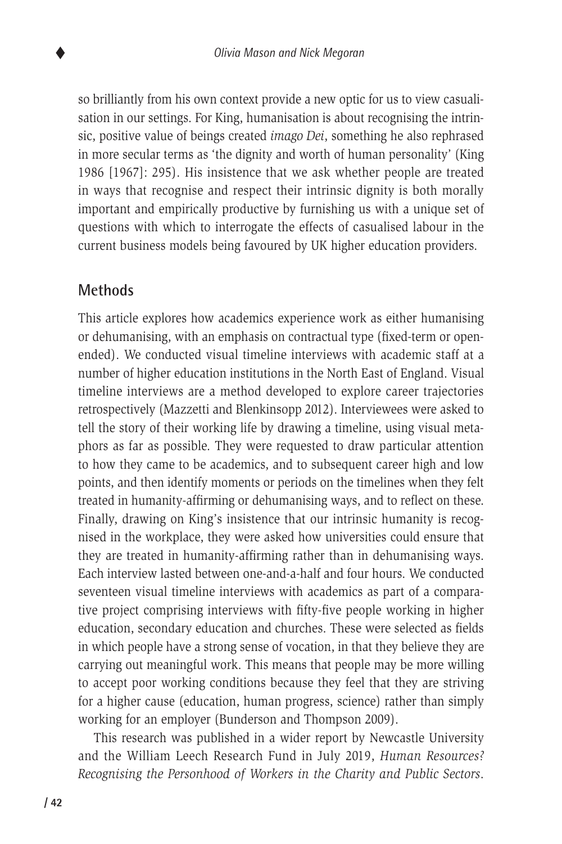so brilliantly from his own context provide a new optic for us to view casualisation in our settings. For King, humanisation is about recognising the intrinsic, positive value of beings created *imago Dei*, something he also rephrased in more secular terms as 'the dignity and worth of human personality' (King 1986 [1967]: 295). His insistence that we ask whether people are treated in ways that recognise and respect their intrinsic dignity is both morally important and empirically productive by furnishing us with a unique set of questions with which to interrogate the effects of casualised labour in the current business models being favoured by UK higher education providers.

# **Methods**

This article explores how academics experience work as either humanising or dehumanising, with an emphasis on contractual type (fixed-term or openended). We conducted visual timeline interviews with academic staff at a number of higher education institutions in the North East of England. Visual timeline interviews are a method developed to explore career trajectories retrospectively (Mazzetti and Blenkinsopp 2012). Interviewees were asked to tell the story of their working life by drawing a timeline, using visual metaphors as far as possible. They were requested to draw particular attention to how they came to be academics, and to subsequent career high and low points, and then identify moments or periods on the timelines when they felt treated in humanity-affirming or dehumanising ways, and to reflect on these. Finally, drawing on King's insistence that our intrinsic humanity is recognised in the workplace, they were asked how universities could ensure that they are treated in humanity-affirming rather than in dehumanising ways. Each interview lasted between one-and-a-half and four hours. We conducted seventeen visual timeline interviews with academics as part of a comparative project comprising interviews with fifty-five people working in higher education, secondary education and churches. These were selected as fields in which people have a strong sense of vocation, in that they believe they are carrying out meaningful work. This means that people may be more willing to accept poor working conditions because they feel that they are striving for a higher cause (education, human progress, science) rather than simply working for an employer (Bunderson and Thompson 2009).

This research was published in a wider report by Newcastle University and the William Leech Research Fund in July 2019, *Human Resources? Recognising the Personhood of Workers in the Charity and Public Sectors*.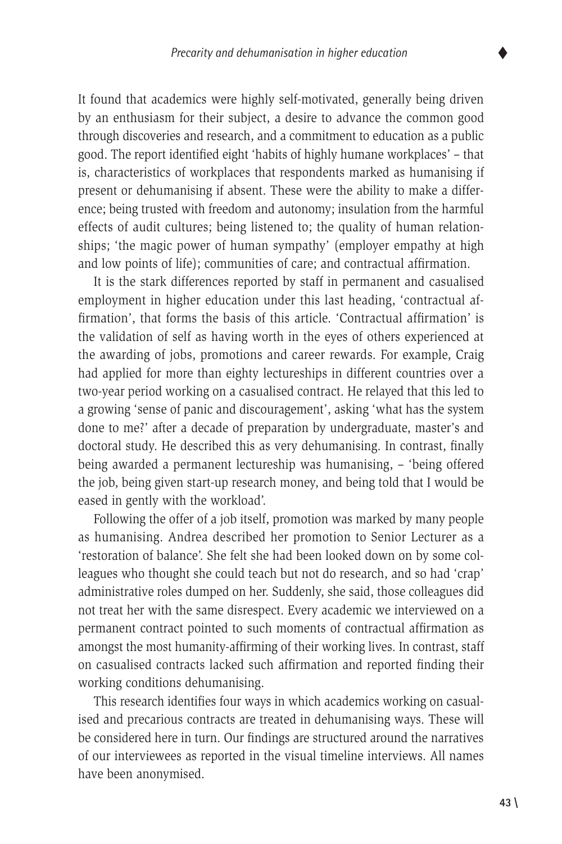It found that academics were highly self-motivated, generally being driven by an enthusiasm for their subject, a desire to advance the common good through discoveries and research, and a commitment to education as a public good. The report identified eight 'habits of highly humane workplaces' – that is, characteristics of workplaces that respondents marked as humanising if present or dehumanising if absent. These were the ability to make a difference; being trusted with freedom and autonomy; insulation from the harmful effects of audit cultures; being listened to; the quality of human relationships; 'the magic power of human sympathy' (employer empathy at high and low points of life); communities of care; and contractual affirmation.

It is the stark differences reported by staff in permanent and casualised employment in higher education under this last heading, 'contractual affirmation', that forms the basis of this article. 'Contractual affirmation' is the validation of self as having worth in the eyes of others experienced at the awarding of jobs, promotions and career rewards. For example, Craig had applied for more than eighty lectureships in different countries over a two-year period working on a casualised contract. He relayed that this led to a growing 'sense of panic and discouragement', asking 'what has the system done to me?' after a decade of preparation by undergraduate, master's and doctoral study. He described this as very dehumanising. In contrast, finally being awarded a permanent lectureship was humanising, – 'being offered the job, being given start-up research money, and being told that I would be eased in gently with the workload'.

Following the offer of a job itself, promotion was marked by many people as humanising. Andrea described her promotion to Senior Lecturer as a 'restoration of balance'. She felt she had been looked down on by some colleagues who thought she could teach but not do research, and so had 'crap' administrative roles dumped on her. Suddenly, she said, those colleagues did not treat her with the same disrespect. Every academic we interviewed on a permanent contract pointed to such moments of contractual affirmation as amongst the most humanity-affirming of their working lives. In contrast, staff on casualised contracts lacked such affirmation and reported finding their working conditions dehumanising.

This research identifies four ways in which academics working on casualised and precarious contracts are treated in dehumanising ways. These will be considered here in turn. Our findings are structured around the narratives of our interviewees as reported in the visual timeline interviews. All names have been anonymised.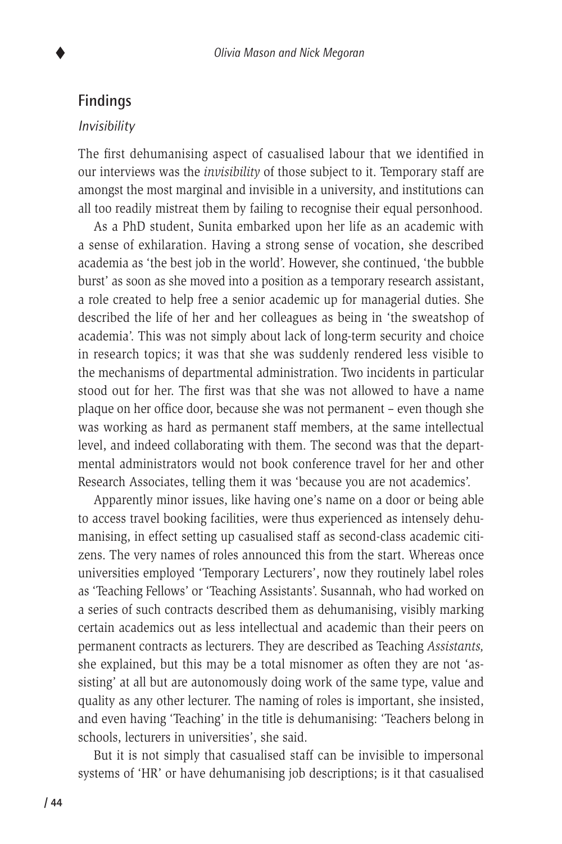## **Findings**

#### *Invisibility*

The first dehumanising aspect of casualised labour that we identified in our interviews was the *invisibility* of those subject to it. Temporary staff are amongst the most marginal and invisible in a university, and institutions can all too readily mistreat them by failing to recognise their equal personhood.

As a PhD student, Sunita embarked upon her life as an academic with a sense of exhilaration. Having a strong sense of vocation, she described academia as 'the best job in the world'. However, she continued, 'the bubble burst' as soon as she moved into a position as a temporary research assistant, a role created to help free a senior academic up for managerial duties. She described the life of her and her colleagues as being in 'the sweatshop of academia'. This was not simply about lack of long-term security and choice in research topics; it was that she was suddenly rendered less visible to the mechanisms of departmental administration. Two incidents in particular stood out for her. The first was that she was not allowed to have a name plaque on her office door, because she was not permanent – even though she was working as hard as permanent staff members, at the same intellectual level, and indeed collaborating with them. The second was that the departmental administrators would not book conference travel for her and other Research Associates, telling them it was 'because you are not academics'.

Apparently minor issues, like having one's name on a door or being able to access travel booking facilities, were thus experienced as intensely dehumanising, in effect setting up casualised staff as second-class academic citizens. The very names of roles announced this from the start. Whereas once universities employed 'Temporary Lecturers', now they routinely label roles as 'Teaching Fellows' or 'Teaching Assistants'. Susannah, who had worked on a series of such contracts described them as dehumanising, visibly marking certain academics out as less intellectual and academic than their peers on permanent contracts as lecturers. They are described as Teaching *Assistants,*  she explained, but this may be a total misnomer as often they are not 'assisting' at all but are autonomously doing work of the same type, value and quality as any other lecturer. The naming of roles is important, she insisted, and even having 'Teaching' in the title is dehumanising: 'Teachers belong in schools, lecturers in universities', she said.

But it is not simply that casualised staff can be invisible to impersonal systems of 'HR' or have dehumanising job descriptions; is it that casualised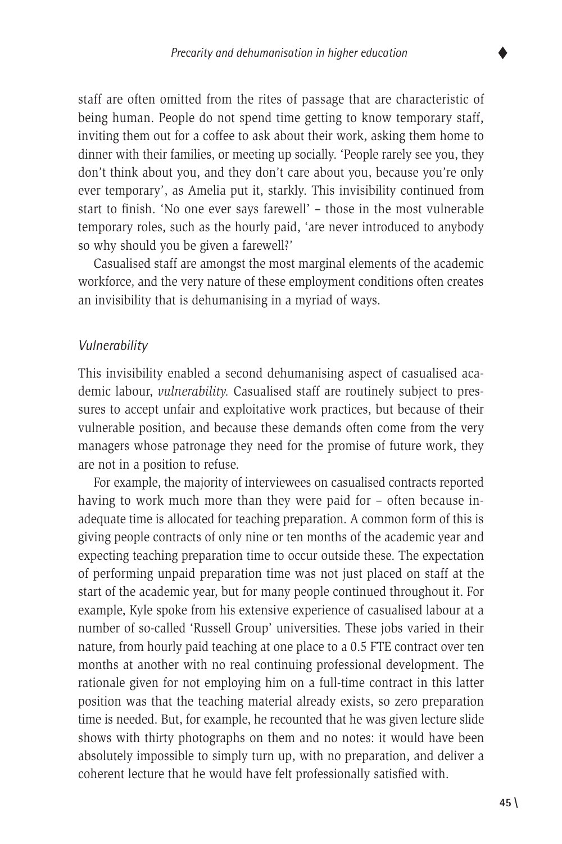staff are often omitted from the rites of passage that are characteristic of being human. People do not spend time getting to know temporary staff, inviting them out for a coffee to ask about their work, asking them home to dinner with their families, or meeting up socially. 'People rarely see you, they don't think about you, and they don't care about you, because you're only ever temporary', as Amelia put it, starkly. This invisibility continued from start to finish. 'No one ever says farewell' – those in the most vulnerable temporary roles, such as the hourly paid, 'are never introduced to anybody so why should you be given a farewell?'

Casualised staff are amongst the most marginal elements of the academic workforce, and the very nature of these employment conditions often creates an invisibility that is dehumanising in a myriad of ways.

#### *Vulnerability*

This invisibility enabled a second dehumanising aspect of casualised academic labour, *vulnerability.* Casualised staff are routinely subject to pressures to accept unfair and exploitative work practices, but because of their vulnerable position, and because these demands often come from the very managers whose patronage they need for the promise of future work, they are not in a position to refuse.

For example, the majority of interviewees on casualised contracts reported having to work much more than they were paid for – often because inadequate time is allocated for teaching preparation. A common form of this is giving people contracts of only nine or ten months of the academic year and expecting teaching preparation time to occur outside these. The expectation of performing unpaid preparation time was not just placed on staff at the start of the academic year, but for many people continued throughout it. For example, Kyle spoke from his extensive experience of casualised labour at a number of so-called 'Russell Group' universities. These jobs varied in their nature, from hourly paid teaching at one place to a 0.5 FTE contract over ten months at another with no real continuing professional development. The rationale given for not employing him on a full-time contract in this latter position was that the teaching material already exists, so zero preparation time is needed. But, for example, he recounted that he was given lecture slide shows with thirty photographs on them and no notes: it would have been absolutely impossible to simply turn up, with no preparation, and deliver a coherent lecture that he would have felt professionally satisfied with.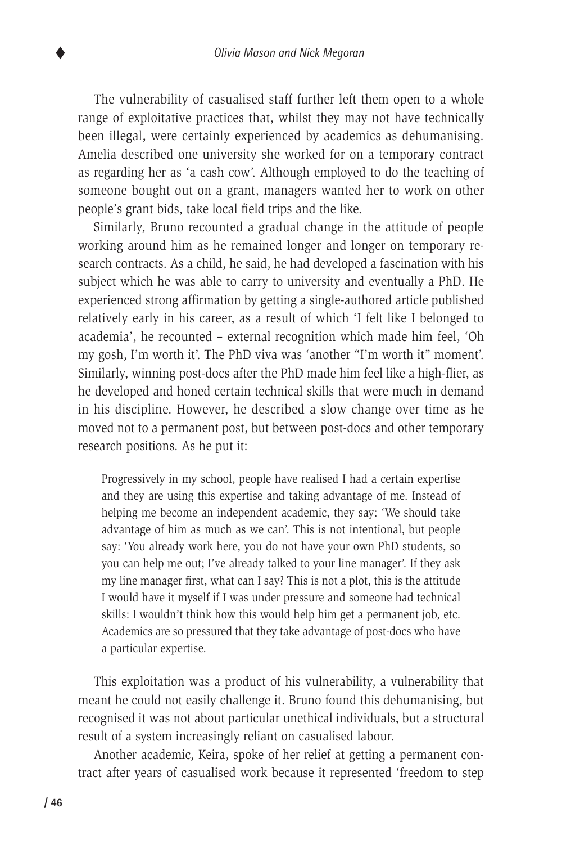The vulnerability of casualised staff further left them open to a whole range of exploitative practices that, whilst they may not have technically been illegal, were certainly experienced by academics as dehumanising. Amelia described one university she worked for on a temporary contract as regarding her as 'a cash cow'. Although employed to do the teaching of someone bought out on a grant, managers wanted her to work on other people's grant bids, take local field trips and the like.

Similarly, Bruno recounted a gradual change in the attitude of people working around him as he remained longer and longer on temporary research contracts. As a child, he said, he had developed a fascination with his subject which he was able to carry to university and eventually a PhD. He experienced strong affirmation by getting a single-authored article published relatively early in his career, as a result of which 'I felt like I belonged to academia', he recounted – external recognition which made him feel, 'Oh my gosh, I'm worth it'. The PhD viva was 'another "I'm worth it" moment'. Similarly, winning post-docs after the PhD made him feel like a high-flier, as he developed and honed certain technical skills that were much in demand in his discipline. However, he described a slow change over time as he moved not to a permanent post, but between post-docs and other temporary research positions. As he put it:

Progressively in my school, people have realised I had a certain expertise and they are using this expertise and taking advantage of me. Instead of helping me become an independent academic, they say: 'We should take advantage of him as much as we can'. This is not intentional, but people say: 'You already work here, you do not have your own PhD students, so you can help me out; I've already talked to your line manager'. If they ask my line manager first, what can I say? This is not a plot, this is the attitude I would have it myself if I was under pressure and someone had technical skills: I wouldn't think how this would help him get a permanent job, etc. Academics are so pressured that they take advantage of post-docs who have a particular expertise.

This exploitation was a product of his vulnerability, a vulnerability that meant he could not easily challenge it. Bruno found this dehumanising, but recognised it was not about particular unethical individuals, but a structural result of a system increasingly reliant on casualised labour.

Another academic, Keira, spoke of her relief at getting a permanent contract after years of casualised work because it represented 'freedom to step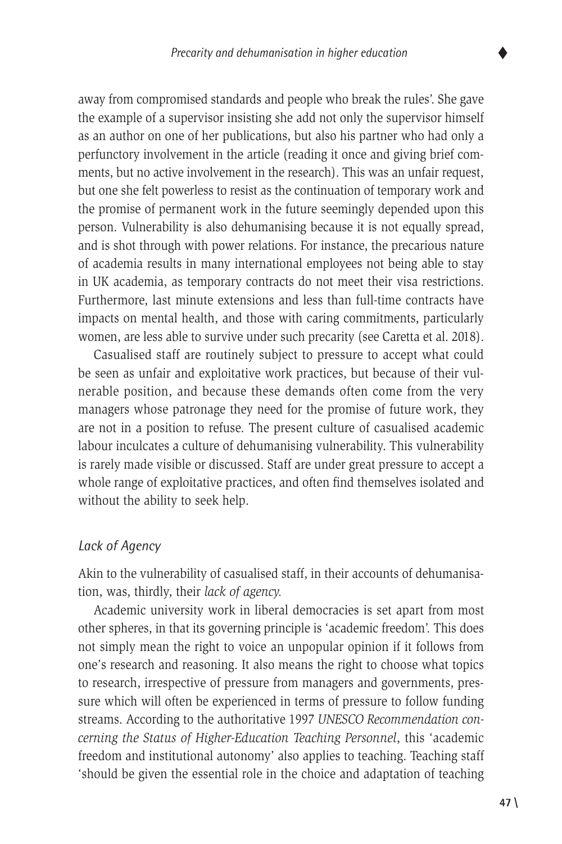away from compromised standards and people who break the rules'. She gave the example of a supervisor insisting she add not only the supervisor himself as an author on one of her publications, but also his partner who had only a perfunctory involvement in the article (reading it once and giving brief comments, but no active involvement in the research). This was an unfair request, but one she felt powerless to resist as the continuation of temporary work and the promise of permanent work in the future seemingly depended upon this person. Vulnerability is also dehumanising because it is not equally spread, and is shot through with power relations. For instance, the precarious nature of academia results in many international employees not being able to stay in UK academia, as temporary contracts do not meet their visa restrictions. Furthermore, last minute extensions and less than full-time contracts have impacts on mental health, and those with caring commitments, particularly women, are less able to survive under such precarity (see Caretta et al. 2018).

Casualised staff are routinely subject to pressure to accept what could be seen as unfair and exploitative work practices, but because of their vulnerable position, and because these demands often come from the very managers whose patronage they need for the promise of future work, they are not in a position to refuse. The present culture of casualised academic labour inculcates a culture of dehumanising vulnerability. This vulnerability is rarely made visible or discussed. Staff are under great pressure to accept a whole range of exploitative practices, and often find themselves isolated and without the ability to seek help.

#### *Lack of Agency*

Akin to the vulnerability of casualised staff, in their accounts of dehumanisation, was, thirdly, their *lack of agency.*

Academic university work in liberal democracies is set apart from most other spheres, in that its governing principle is 'academic freedom'. This does not simply mean the right to voice an unpopular opinion if it follows from one's research and reasoning. It also means the right to choose what topics to research, irrespective of pressure from managers and governments, pressure which will often be experienced in terms of pressure to follow funding streams. According to the authoritative 1997 *UNESCO Recommendation concerning the Status of Higher-Education Teaching Personnel*, this 'academic freedom and institutional autonomy' also applies to teaching. Teaching staff 'should be given the essential role in the choice and adaptation of teaching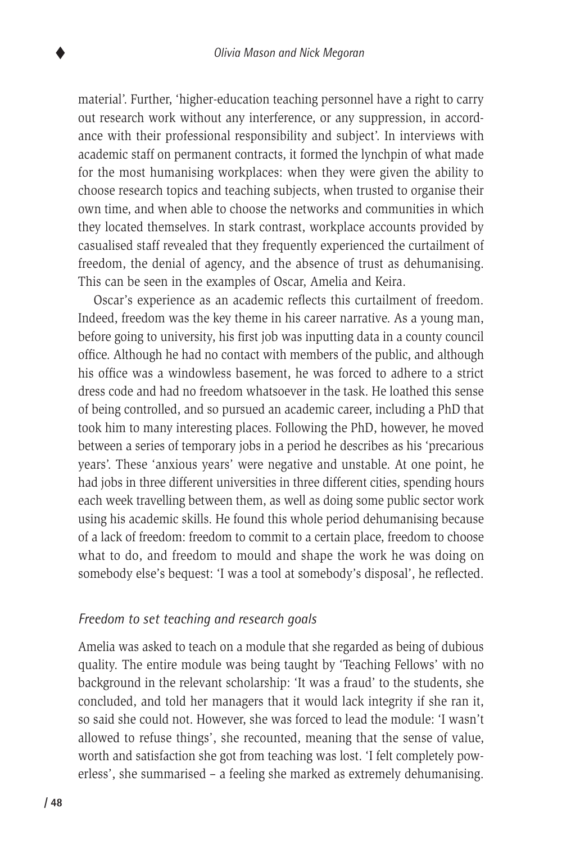material'. Further, 'higher-education teaching personnel have a right to carry out research work without any interference, or any suppression, in accordance with their professional responsibility and subject'. In interviews with academic staff on permanent contracts, it formed the lynchpin of what made for the most humanising workplaces: when they were given the ability to choose research topics and teaching subjects, when trusted to organise their own time, and when able to choose the networks and communities in which they located themselves. In stark contrast, workplace accounts provided by casualised staff revealed that they frequently experienced the curtailment of freedom, the denial of agency, and the absence of trust as dehumanising. This can be seen in the examples of Oscar, Amelia and Keira.

Oscar's experience as an academic reflects this curtailment of freedom. Indeed, freedom was the key theme in his career narrative. As a young man, before going to university, his first job was inputting data in a county council office. Although he had no contact with members of the public, and although his office was a windowless basement, he was forced to adhere to a strict dress code and had no freedom whatsoever in the task. He loathed this sense of being controlled, and so pursued an academic career, including a PhD that took him to many interesting places. Following the PhD, however, he moved between a series of temporary jobs in a period he describes as his 'precarious years'. These 'anxious years' were negative and unstable. At one point, he had jobs in three different universities in three different cities, spending hours each week travelling between them, as well as doing some public sector work using his academic skills. He found this whole period dehumanising because of a lack of freedom: freedom to commit to a certain place, freedom to choose what to do, and freedom to mould and shape the work he was doing on somebody else's bequest: 'I was a tool at somebody's disposal', he reflected.

#### *Freedom to set teaching and research goals*

Amelia was asked to teach on a module that she regarded as being of dubious quality. The entire module was being taught by 'Teaching Fellows' with no background in the relevant scholarship: 'It was a fraud' to the students, she concluded, and told her managers that it would lack integrity if she ran it, so said she could not. However, she was forced to lead the module: 'I wasn't allowed to refuse things', she recounted, meaning that the sense of value, worth and satisfaction she got from teaching was lost. 'I felt completely powerless', she summarised – a feeling she marked as extremely dehumanising.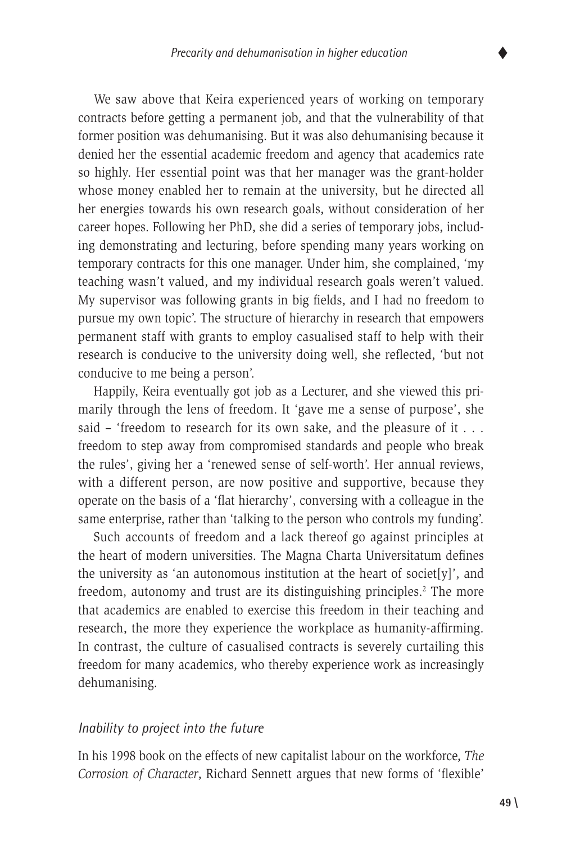We saw above that Keira experienced years of working on temporary contracts before getting a permanent job, and that the vulnerability of that former position was dehumanising. But it was also dehumanising because it denied her the essential academic freedom and agency that academics rate so highly. Her essential point was that her manager was the grant-holder whose money enabled her to remain at the university, but he directed all her energies towards his own research goals, without consideration of her career hopes. Following her PhD, she did a series of temporary jobs, including demonstrating and lecturing, before spending many years working on temporary contracts for this one manager. Under him, she complained, 'my teaching wasn't valued, and my individual research goals weren't valued. My supervisor was following grants in big fields, and I had no freedom to pursue my own topic'. The structure of hierarchy in research that empowers permanent staff with grants to employ casualised staff to help with their research is conducive to the university doing well, she reflected, 'but not conducive to me being a person'.

Happily, Keira eventually got job as a Lecturer, and she viewed this primarily through the lens of freedom. It 'gave me a sense of purpose', she said – 'freedom to research for its own sake, and the pleasure of it . . . freedom to step away from compromised standards and people who break the rules', giving her a 'renewed sense of self-worth'. Her annual reviews, with a different person, are now positive and supportive, because they operate on the basis of a 'flat hierarchy', conversing with a colleague in the same enterprise, rather than 'talking to the person who controls my funding'.

Such accounts of freedom and a lack thereof go against principles at the heart of modern universities. The Magna Charta Universitatum defines the university as 'an autonomous institution at the heart of societ[y]', and freedom, autonomy and trust are its distinguishing principles.<sup>2</sup> The more that academics are enabled to exercise this freedom in their teaching and research, the more they experience the workplace as humanity-affirming. In contrast, the culture of casualised contracts is severely curtailing this freedom for many academics, who thereby experience work as increasingly dehumanising.

#### *Inability to project into the future*

In his 1998 book on the effects of new capitalist labour on the workforce, *The Corrosion of Character*, Richard Sennett argues that new forms of 'flexible'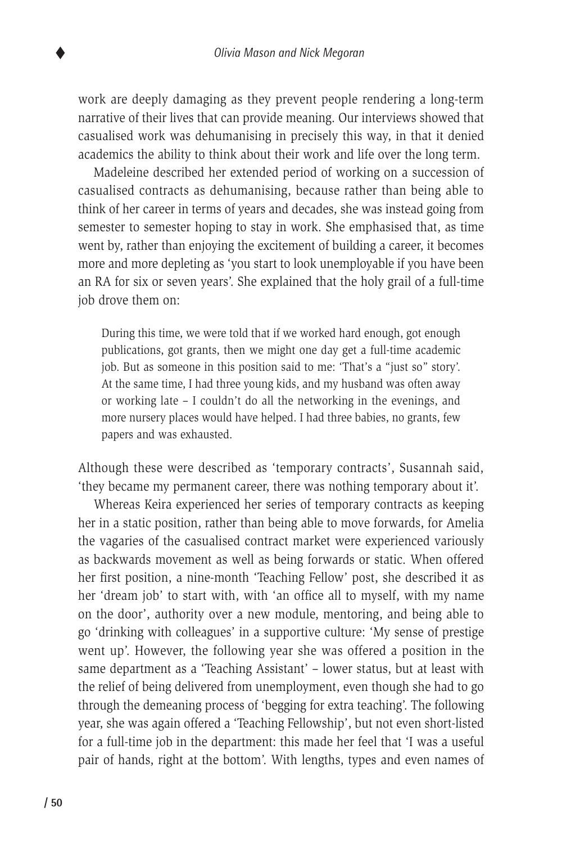work are deeply damaging as they prevent people rendering a long-term narrative of their lives that can provide meaning. Our interviews showed that casualised work was dehumanising in precisely this way, in that it denied academics the ability to think about their work and life over the long term.

Madeleine described her extended period of working on a succession of casualised contracts as dehumanising, because rather than being able to think of her career in terms of years and decades, she was instead going from semester to semester hoping to stay in work. She emphasised that, as time went by, rather than enjoying the excitement of building a career, it becomes more and more depleting as 'you start to look unemployable if you have been an RA for six or seven years'. She explained that the holy grail of a full-time job drove them on:

During this time, we were told that if we worked hard enough, got enough publications, got grants, then we might one day get a full-time academic job. But as someone in this position said to me: 'That's a "just so" story'. At the same time, I had three young kids, and my husband was often away or working late – I couldn't do all the networking in the evenings, and more nursery places would have helped. I had three babies, no grants, few papers and was exhausted.

Although these were described as 'temporary contracts', Susannah said, 'they became my permanent career, there was nothing temporary about it'.

Whereas Keira experienced her series of temporary contracts as keeping her in a static position, rather than being able to move forwards, for Amelia the vagaries of the casualised contract market were experienced variously as backwards movement as well as being forwards or static. When offered her first position, a nine-month 'Teaching Fellow' post, she described it as her 'dream job' to start with, with 'an office all to myself, with my name on the door', authority over a new module, mentoring, and being able to go 'drinking with colleagues' in a supportive culture: 'My sense of prestige went up'. However, the following year she was offered a position in the same department as a 'Teaching Assistant' – lower status, but at least with the relief of being delivered from unemployment, even though she had to go through the demeaning process of 'begging for extra teaching'. The following year, she was again offered a 'Teaching Fellowship', but not even short-listed for a full-time job in the department: this made her feel that 'I was a useful pair of hands, right at the bottom'. With lengths, types and even names of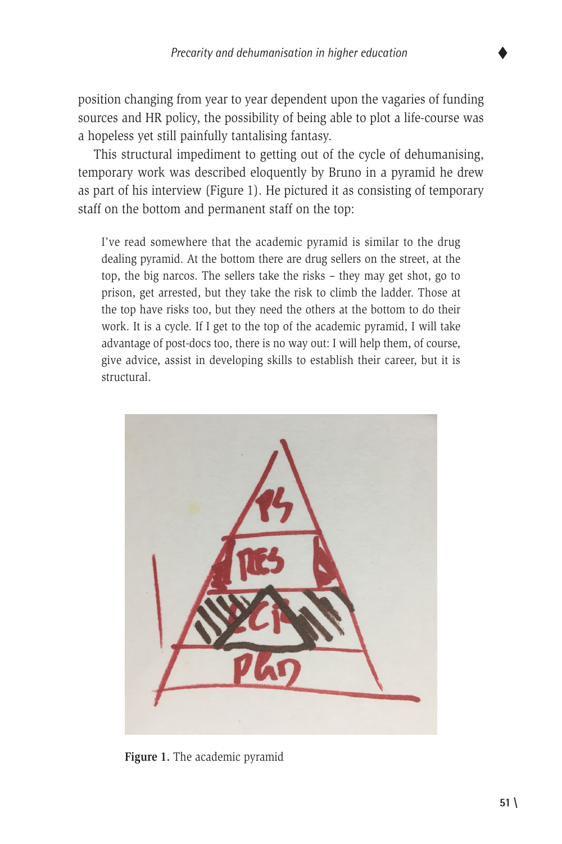position changing from year to year dependent upon the vagaries of funding sources and HR policy, the possibility of being able to plot a life-course was a hopeless yet still painfully tantalising fantasy.

This structural impediment to getting out of the cycle of dehumanising, temporary work was described eloquently by Bruno in a pyramid he drew as part of his interview (Figure 1). He pictured it as consisting of temporary staff on the bottom and permanent staff on the top:

I've read somewhere that the academic pyramid is similar to the drug dealing pyramid. At the bottom there are drug sellers on the street, at the top, the big narcos. The sellers take the risks – they may get shot, go to prison, get arrested, but they take the risk to climb the ladder. Those at the top have risks too, but they need the others at the bottom to do their work. It is a cycle. If I get to the top of the academic pyramid, I will take advantage of post-docs too, there is no way out: I will help them, of course, give advice, assist in developing skills to establish their career, but it is structural.



**Figure 1.** The academic pyramid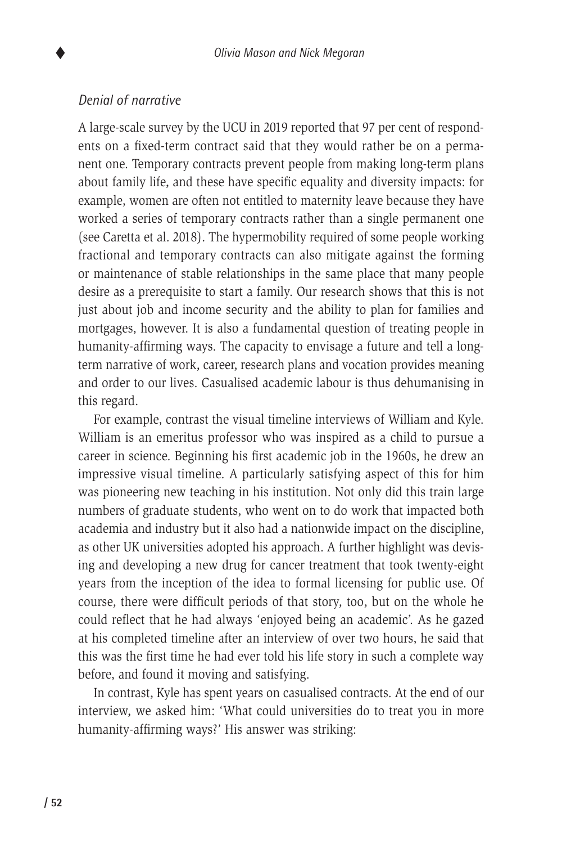### *Denial of narrative*

A large-scale survey by the UCU in 2019 reported that 97 per cent of respondents on a fixed-term contract said that they would rather be on a permanent one. Temporary contracts prevent people from making long-term plans about family life, and these have specific equality and diversity impacts: for example, women are often not entitled to maternity leave because they have worked a series of temporary contracts rather than a single permanent one (see Caretta et al. 2018). The hypermobility required of some people working fractional and temporary contracts can also mitigate against the forming or maintenance of stable relationships in the same place that many people desire as a prerequisite to start a family. Our research shows that this is not just about job and income security and the ability to plan for families and mortgages, however. It is also a fundamental question of treating people in humanity-affirming ways. The capacity to envisage a future and tell a longterm narrative of work, career, research plans and vocation provides meaning and order to our lives. Casualised academic labour is thus dehumanising in this regard.

For example, contrast the visual timeline interviews of William and Kyle. William is an emeritus professor who was inspired as a child to pursue a career in science. Beginning his first academic job in the 1960s, he drew an impressive visual timeline. A particularly satisfying aspect of this for him was pioneering new teaching in his institution. Not only did this train large numbers of graduate students, who went on to do work that impacted both academia and industry but it also had a nationwide impact on the discipline, as other UK universities adopted his approach. A further highlight was devising and developing a new drug for cancer treatment that took twenty-eight years from the inception of the idea to formal licensing for public use. Of course, there were difficult periods of that story, too, but on the whole he could reflect that he had always 'enjoyed being an academic'. As he gazed at his completed timeline after an interview of over two hours, he said that this was the first time he had ever told his life story in such a complete way before, and found it moving and satisfying.

In contrast, Kyle has spent years on casualised contracts. At the end of our interview, we asked him: 'What could universities do to treat you in more humanity-affirming ways?' His answer was striking: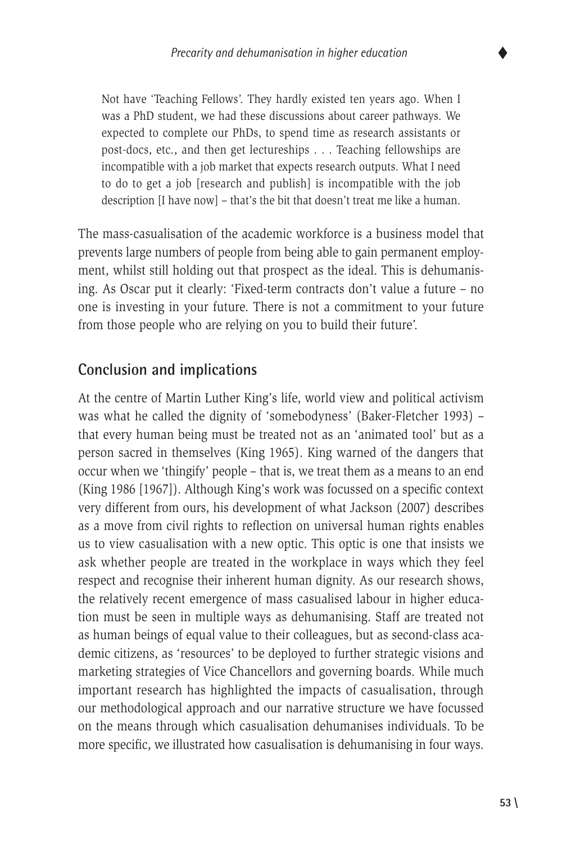

Not have 'Teaching Fellows'. They hardly existed ten years ago. When I was a PhD student, we had these discussions about career pathways. We expected to complete our PhDs, to spend time as research assistants or post-docs, etc., and then get lectureships . . . Teaching fellowships are incompatible with a job market that expects research outputs. What I need to do to get a job [research and publish] is incompatible with the job description [I have now] – that's the bit that doesn't treat me like a human.

The mass-casualisation of the academic workforce is a business model that prevents large numbers of people from being able to gain permanent employment, whilst still holding out that prospect as the ideal. This is dehumanising. As Oscar put it clearly: 'Fixed-term contracts don't value a future – no one is investing in your future. There is not a commitment to your future from those people who are relying on you to build their future'.

# **Conclusion and implications**

At the centre of Martin Luther King's life, world view and political activism was what he called the dignity of 'somebodyness' (Baker-Fletcher 1993) – that every human being must be treated not as an 'animated tool' but as a person sacred in themselves (King 1965). King warned of the dangers that occur when we 'thingify' people – that is, we treat them as a means to an end (King 1986 [1967]). Although King's work was focussed on a specific context very different from ours, his development of what Jackson (2007) describes as a move from civil rights to reflection on universal human rights enables us to view casualisation with a new optic. This optic is one that insists we ask whether people are treated in the workplace in ways which they feel respect and recognise their inherent human dignity. As our research shows, the relatively recent emergence of mass casualised labour in higher education must be seen in multiple ways as dehumanising. Staff are treated not as human beings of equal value to their colleagues, but as second-class academic citizens, as 'resources' to be deployed to further strategic visions and marketing strategies of Vice Chancellors and governing boards. While much important research has highlighted the impacts of casualisation, through our methodological approach and our narrative structure we have focussed on the means through which casualisation dehumanises individuals. To be more specific, we illustrated how casualisation is dehumanising in four ways.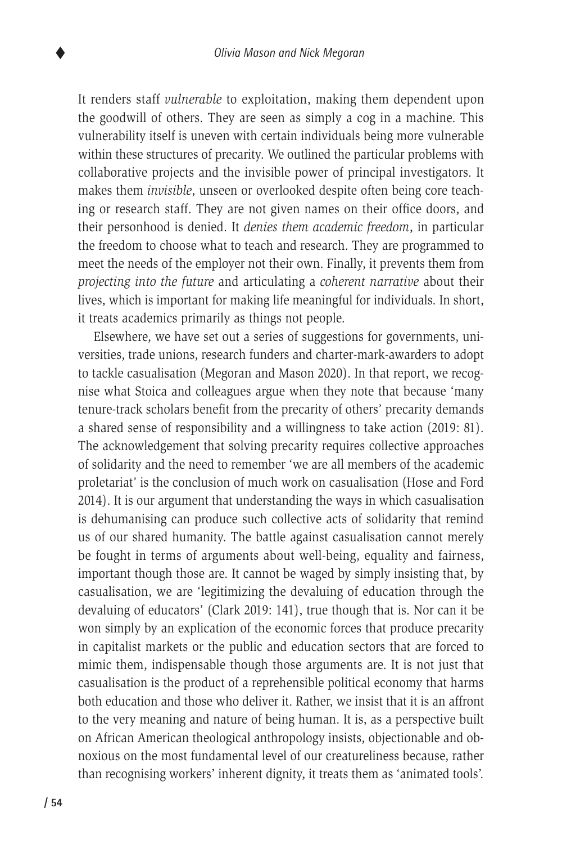It renders staff *vulnerable* to exploitation, making them dependent upon the goodwill of others. They are seen as simply a cog in a machine. This vulnerability itself is uneven with certain individuals being more vulnerable within these structures of precarity. We outlined the particular problems with collaborative projects and the invisible power of principal investigators. It makes them *invisible*, unseen or overlooked despite often being core teaching or research staff. They are not given names on their office doors, and their personhood is denied. It *denies them academic freedom*, in particular the freedom to choose what to teach and research. They are programmed to meet the needs of the employer not their own. Finally, it prevents them from *projecting into the future* and articulating a *coherent narrative* about their lives, which is important for making life meaningful for individuals. In short, it treats academics primarily as things not people.

Elsewhere, we have set out a series of suggestions for governments, universities, trade unions, research funders and charter-mark-awarders to adopt to tackle casualisation (Megoran and Mason 2020). In that report, we recognise what Stoica and colleagues argue when they note that because 'many tenure-track scholars benefit from the precarity of others' precarity demands a shared sense of responsibility and a willingness to take action (2019: 81). The acknowledgement that solving precarity requires collective approaches of solidarity and the need to remember 'we are all members of the academic proletariat' is the conclusion of much work on casualisation (Hose and Ford 2014). It is our argument that understanding the ways in which casualisation is dehumanising can produce such collective acts of solidarity that remind us of our shared humanity. The battle against casualisation cannot merely be fought in terms of arguments about well-being, equality and fairness, important though those are. It cannot be waged by simply insisting that, by casualisation, we are 'legitimizing the devaluing of education through the devaluing of educators' (Clark 2019: 141), true though that is. Nor can it be won simply by an explication of the economic forces that produce precarity in capitalist markets or the public and education sectors that are forced to mimic them, indispensable though those arguments are. It is not just that casualisation is the product of a reprehensible political economy that harms both education and those who deliver it. Rather, we insist that it is an affront to the very meaning and nature of being human. It is, as a perspective built on African American theological anthropology insists, objectionable and obnoxious on the most fundamental level of our creatureliness because, rather than recognising workers' inherent dignity, it treats them as 'animated tools'.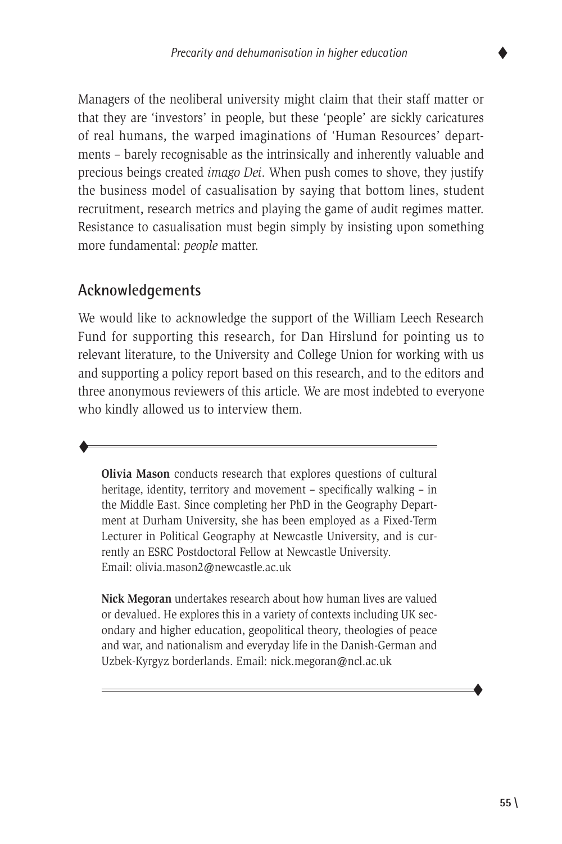

Managers of the neoliberal university might claim that their staff matter or that they are 'investors' in people, but these 'people' are sickly caricatures of real humans, the warped imaginations of 'Human Resources' departments – barely recognisable as the intrinsically and inherently valuable and precious beings created *imago Dei*. When push comes to shove, they justify the business model of casualisation by saying that bottom lines, student recruitment, research metrics and playing the game of audit regimes matter. Resistance to casualisation must begin simply by insisting upon something more fundamental: *people* matter.

# **Acknowledgements**

 $\blacklozenge$ 

We would like to acknowledge the support of the William Leech Research Fund for supporting this research, for Dan Hirslund for pointing us to relevant literature, to the University and College Union for working with us and supporting a policy report based on this research, and to the editors and three anonymous reviewers of this article. We are most indebted to everyone who kindly allowed us to interview them.

**Olivia Mason** conducts research that explores questions of cultural heritage, identity, territory and movement – specifically walking – in the Middle East. Since completing her PhD in the Geography Department at Durham University, she has been employed as a Fixed-Term Lecturer in Political Geography at Newcastle University, and is currently an ESRC Postdoctoral Fellow at Newcastle University. Email: olivia.mason2@newcastle.ac.uk

**Nick Megoran** undertakes research about how human lives are valued or devalued. He explores this in a variety of contexts including UK secondary and higher education, geopolitical theory, theologies of peace and war, and nationalism and everyday life in the Danish-German and Uzbek-Kyrgyz borderlands. Email: nick.megoran@ncl.ac.uk

 $\blacklozenge$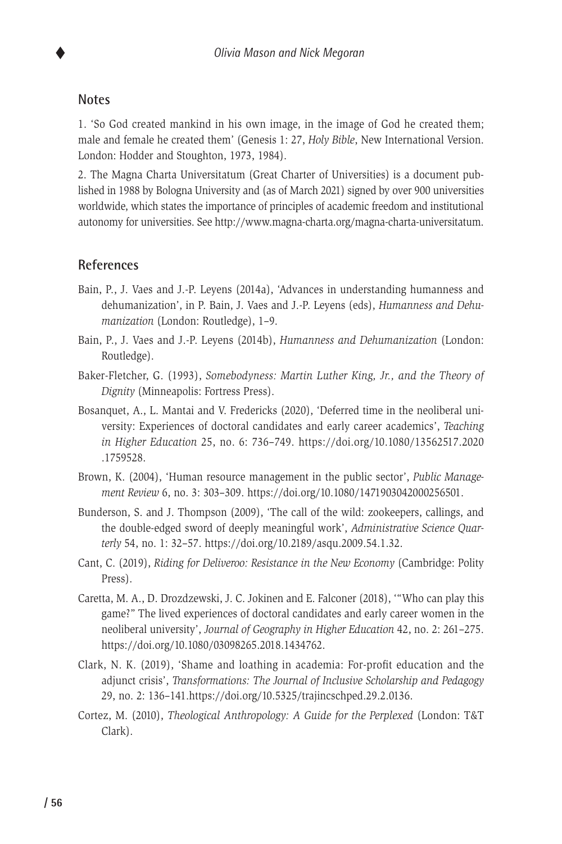#### **Notes**

1. 'So God created mankind in his own image, in the image of God he created them; male and female he created them' (Genesis 1: 27, *Holy Bible*, New International Version. London: Hodder and Stoughton, 1973, 1984).

2. The Magna Charta Universitatum (Great Charter of Universities) is a document published in 1988 by Bologna University and (as of March 2021) signed by over 900 universities worldwide, which states the importance of principles of academic freedom and institutional autonomy for universities. See http://www.magna-charta.org/magna-charta-universitatum.

#### **References**

- Bain, P., J. Vaes and J.-P. Leyens (2014a), 'Advances in understanding humanness and dehumanization', in P. Bain, J. Vaes and J.-P. Leyens (eds), *Humanness and Dehumanization* (London: Routledge), 1–9.
- Bain, P., J. Vaes and J.-P. Leyens (2014b), *Humanness and Dehumanization* (London: Routledge).
- Baker-Fletcher, G. (1993), *Somebodyness: Martin Luther King, Jr., and the Theory of Dignity* (Minneapolis: Fortress Press).
- Bosanquet, A., L. Mantai and V. Fredericks (2020), 'Deferred time in the neoliberal university: Experiences of doctoral candidates and early career academics', *Teaching in Higher Education* 25, no. 6: 736–749. https://doi.org/10.1080/13562517.2020 .1759528.
- Brown, K. (2004), 'Human resource management in the public sector', *Public Management Review* 6, no. 3: 303–309. https://doi.org/10.1080/1471903042000256501.
- Bunderson, S. and J. Thompson (2009), 'The call of the wild: zookeepers, callings, and the double-edged sword of deeply meaningful work', *Administrative Science Quarterly* 54, no. 1: 32–57. https://doi.org/10.2189/asqu.2009.54.1.32.
- Cant, C. (2019), *Riding for Deliveroo: Resistance in the New Economy* (Cambridge: Polity Press).
- Caretta, M. A., D. Drozdzewski, J. C. Jokinen and E. Falconer (2018), '"Who can play this game?" The lived experiences of doctoral candidates and early career women in the neoliberal university', *Journal of Geography in Higher Education* 42, no. 2: 261–275. https://doi.org/10.1080/03098265.2018.1434762.
- Clark, N. K. (2019), 'Shame and loathing in academia: For-profit education and the adjunct crisis', *Transformations: The Journal of Inclusive Scholarship and Pedagogy*  29, no. 2: 136–141.https://doi.org/10.5325/trajincschped.29.2.0136.
- Cortez, M. (2010), *Theological Anthropology: A Guide for the Perplexed* (London: T&T Clark).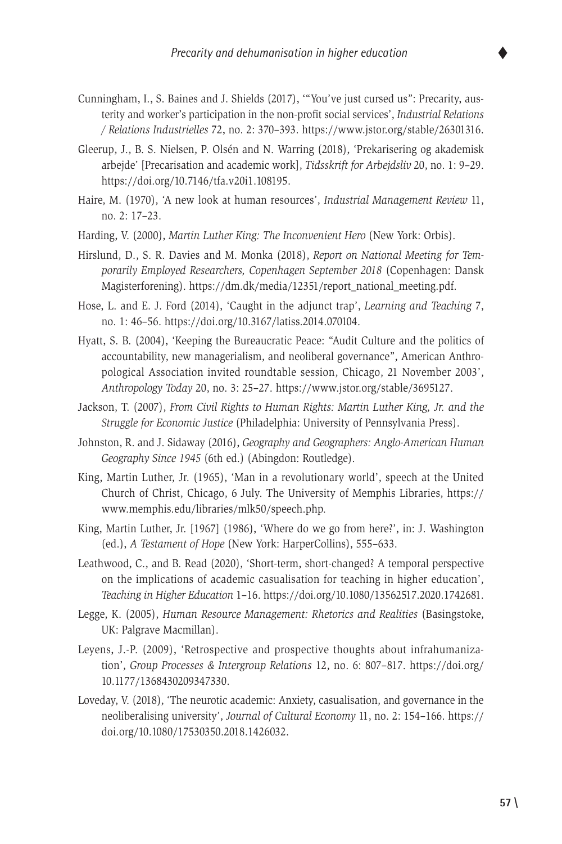- Cunningham, I., S. Baines and J. Shields (2017), '"You've just cursed us": Precarity, austerity and worker's participation in the non-profit social services', *Industrial Relations / Relations Industrielles* 72, no. 2: 370–393. https://www.jstor.org/stable/26301316.
- Gleerup, J., B. S. Nielsen, P. Olsén and N. Warring (2018), 'Prekarisering og akademisk arbejde' [Precarisation and academic work], *Tidsskrift for Arbejdsliv* 20, no. 1: 9–29. https://doi.org/10.7146/tfa.v20i1.108195.
- Haire, M. (1970), 'A new look at human resources', *Industrial Management Review* 11, no. 2: 17–23.
- Harding, V. (2000), *Martin Luther King: The Inconvenient Hero* (New York: Orbis).
- Hirslund, D., S. R. Davies and M. Monka (2018), *Report on National Meeting for Temporarily Employed Researchers, Copenhagen September 2018* (Copenhagen: Dansk Magisterforening). https://dm.dk/media/12351/report\_national\_meeting.pdf.
- Hose, L. and E. J. Ford (2014), 'Caught in the adjunct trap', *Learning and Teaching* 7, no. 1: 46–56. https://doi.org/10.3167/latiss.2014.070104.
- Hyatt, S. B. (2004), 'Keeping the Bureaucratic Peace: "Audit Culture and the politics of accountability, new managerialism, and neoliberal governance", American Anthropological Association invited roundtable session, Chicago, 21 November 2003', *Anthropology Today* 20, no. 3: 25–27. https://www.jstor.org/stable/3695127.
- Jackson, T. (2007), *From Civil Rights to Human Rights: Martin Luther King, Jr. and the Struggle for Economic Justice* (Philadelphia: University of Pennsylvania Press).
- Johnston, R. and J. Sidaway (2016), *Geography and Geographers: Anglo-American Human Geography Since 1945* (6th ed.) (Abingdon: Routledge).
- King, Martin Luther, Jr. (1965), 'Man in a revolutionary world', speech at the United Church of Christ, Chicago, 6 July. The University of Memphis Libraries, https:// www.memphis.edu/libraries/mlk50/speech.php*.*
- King, Martin Luther, Jr. [1967] (1986), 'Where do we go from here?', in: J. Washington (ed.), *A Testament of Hope* (New York: HarperCollins), 555–633.
- Leathwood, C., and B. Read (2020), 'Short-term, short-changed? A temporal perspective on the implications of academic casualisation for teaching in higher education', *Teaching in Higher Education* 1–16. https://doi.org/10.1080/13562517.2020.1742681.
- Legge, K. (2005), *Human Resource Management: Rhetorics and Realities* (Basingstoke, UK: Palgrave Macmillan).
- Leyens, J.-P. (2009), 'Retrospective and prospective thoughts about infrahumanization', *Group Processes & Intergroup Relations* 12, no. 6: 807–817. https://doi.org/ 10.1177/1368430209347330.
- Loveday, V. (2018), 'The neurotic academic: Anxiety, casualisation, and governance in the neoliberalising university', *Journal of Cultural Economy* 11, no. 2: 154–166. https:// doi.org/10.1080/17530350.2018.1426032.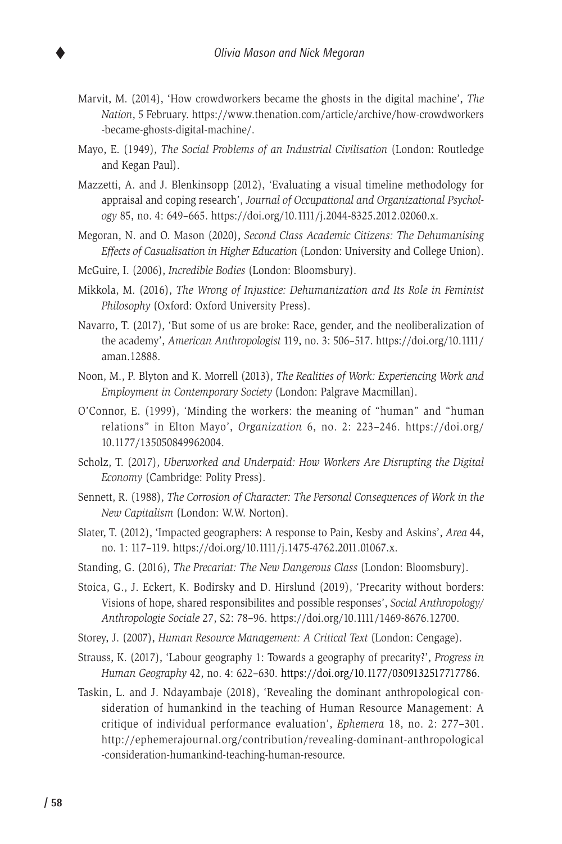- Marvit, M. (2014), 'How crowdworkers became the ghosts in the digital machine', *The Nation*, 5 February. https://www.thenation.com/article/archive/how-crowdworkers -became-ghosts-digital-machine/.
- Mayo, E. (1949), *The Social Problems of an Industrial Civilisation* (London: Routledge and Kegan Paul).
- Mazzetti, A. and J. Blenkinsopp (2012), 'Evaluating a visual timeline methodology for appraisal and coping research', *Journal of Occupational and Organizational Psychology* 85, no. 4: 649–665. https://doi.org/10.1111/j.2044-8325.2012.02060.x.
- Megoran, N. and O. Mason (2020), *Second Class Academic Citizens: The Dehumanising Effects of Casualisation in Higher Education* (London: University and College Union).
- McGuire, I. (2006), *Incredible Bodies* (London: Bloomsbury).
- Mikkola, M. (2016), *The Wrong of Injustice: Dehumanization and Its Role in Feminist Philosophy* (Oxford: Oxford University Press).
- Navarro, T. (2017), 'But some of us are broke: Race, gender, and the neoliberalization of the academy', *American Anthropologist* 119, no. 3: 506–517. https://doi.org/10.1111/ aman.12888.
- Noon, M., P. Blyton and K. Morrell (2013), *The Realities of Work: Experiencing Work and Employment in Contemporary Society* (London: Palgrave Macmillan).
- O'Connor, E. (1999), 'Minding the workers: the meaning of "human" and "human relations" in Elton Mayo', *Organization* 6, no. 2: 223–246. https://doi.org/ 10.1177/135050849962004.
- Scholz, T. (2017), *Uberworked and Underpaid: How Workers Are Disrupting the Digital Economy* (Cambridge: Polity Press).
- Sennett, R. (1988), *The Corrosion of Character: The Personal Consequences of Work in the New Capitalism* (London: W.W. Norton).
- Slater, T. (2012), 'Impacted geographers: A response to Pain, Kesby and Askins', *Area* 44, no. 1: 117–119. https://doi.org/10.1111/j.1475-4762.2011.01067.x.
- Standing, G. (2016), *The Precariat: The New Dangerous Class* (London: Bloomsbury).
- Stoica, G., J. Eckert, K. Bodirsky and D. Hirslund (2019), 'Precarity without borders: Visions of hope, shared responsibilites and possible responses', *Social Anthropology/ Anthropologie Sociale* 27, S2: 78–96. https://doi.org/10.1111/1469-8676.12700.
- Storey, J. (2007), *Human Resource Management: A Critical Text* (London: Cengage).
- Strauss, K. (2017), 'Labour geography 1: Towards a geography of precarity?', *Progress in Human Geography* 42, no. 4: 622–630. https://doi.org/10.1177/0309132517717786.
- Taskin, L. and J. Ndayambaje (2018), 'Revealing the dominant anthropological consideration of humankind in the teaching of Human Resource Management: A critique of individual performance evaluation', *Ephemera* 18, no. 2: 277–301. http://ephemerajournal.org/contribution/revealing-dominant-anthropological -consideration-humankind-teaching-human-resource.